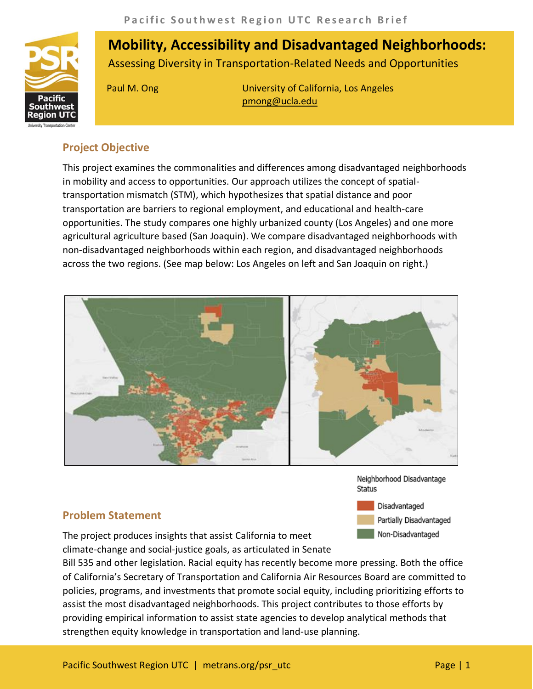

# **Mobility, Accessibility and Disadvantaged Neighborhoods:**  Assessing Diversity in Transportation-Related Needs and Opportunities

Paul M. Ong University of California, Los Angeles pmong@ucla.edu

### **Project Objective**

This project examines the commonalities and differences among disadvantaged neighborhoods in mobility and access to opportunities. Our approach utilizes the concept of spatialtransportation mismatch (STM), which hypothesizes that spatial distance and poor transportation are barriers to regional employment, and educational and health-care opportunities. The study compares one highly urbanized county (Los Angeles) and one more agricultural agriculture based (San Joaquin). We compare disadvantaged neighborhoods with non-disadvantaged neighborhoods within each region, and disadvantaged neighborhoods across the two regions. (See map below: Los Angeles on left and San Joaquin on right.)



Neighborhood Disadvantage **Status** 

Disadvantaged Partially Disadvantaged Non-Disadvantaged

## **Problem Statement**

The project produces insights that assist California to meet climate-change and social-justice goals, as articulated in Senate

Bill 535 and other legislation. Racial equity has recently become more pressing. Both the office of California's Secretary of Transportation and California Air Resources Board are committed to policies, programs, and investments that promote social equity, including prioritizing efforts to assist the most disadvantaged neighborhoods. This project contributes to those efforts by providing empirical information to assist state agencies to develop analytical methods that strengthen equity knowledge in transportation and land-use planning.